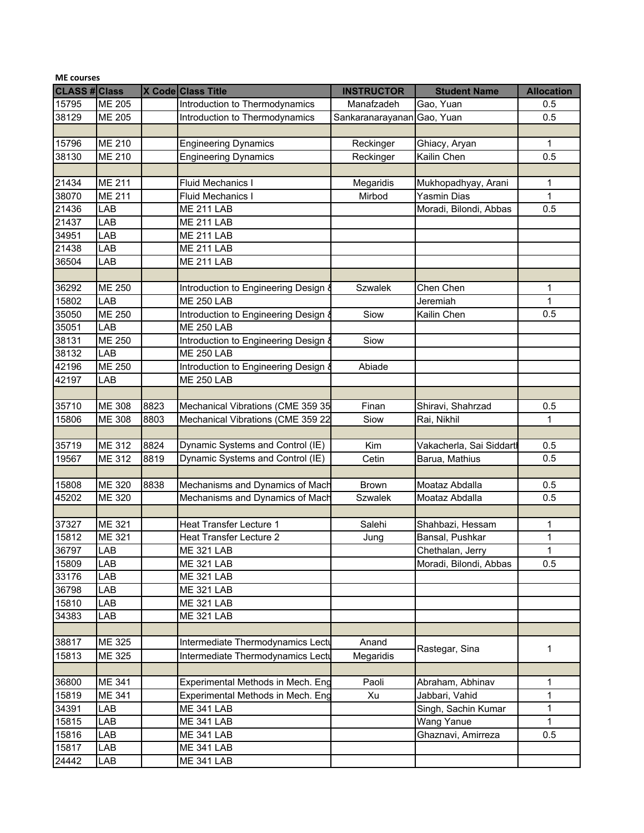| <b>CLASS # Class</b><br>X Code Class Title<br><b>INSTRUCTOR</b><br><b>Student Name</b><br><b>Allocation</b><br>15795<br><b>ME 205</b><br>Introduction to Thermodynamics<br>Manafzadeh<br>Gao, Yuan<br>0.5<br>38129<br><b>ME 205</b><br>Introduction to Thermodynamics<br>Gao, Yuan<br>0.5<br>Sankaranarayanan<br>15796<br><b>ME 210</b><br><b>Engineering Dynamics</b><br>Reckinger<br>Ghiacy, Aryan<br>1<br><b>ME 210</b><br>38130<br><b>Engineering Dynamics</b><br>Kailin Chen<br>0.5<br>Reckinger<br>21434<br><b>ME 211</b><br><b>Fluid Mechanics I</b><br>Megaridis<br>Mukhopadhyay, Arani<br>1<br>38070<br><b>ME 211</b><br>1<br>Mirbod<br>Yasmin Dias<br><b>Fluid Mechanics I</b><br>21436<br>LAB<br><b>ME 211 LAB</b><br>Moradi, Bilondi, Abbas<br>0.5<br>21437<br>LAB<br><b>ME 211 LAB</b><br>34951<br>LAB<br><b>ME 211 LAB</b><br>21438<br>$\mathsf{LAB}$<br><b>ME 211 LAB</b><br>36504<br>LAB<br><b>ME 211 LAB</b><br>36292<br><b>ME 250</b><br><b>Szwalek</b><br>Chen Chen<br>Introduction to Engineering Design &<br>1<br>15802<br><b>ME 250 LAB</b><br>Jeremiah<br>LAB<br>1<br>35050<br><b>ME 250</b><br>Siow<br>Introduction to Engineering Design &<br>Kailin Chen<br>0.5<br>LAB<br><b>ME 250 LAB</b><br>35051<br>38131<br>ME 250<br>Introduction to Engineering Design<br>Siow<br>38132<br>LAB<br><b>ME 250 LAB</b><br>42196<br><b>ME 250</b><br>Abiade<br>Introduction to Engineering Design<br>42197<br>LAB<br><b>ME 250 LAB</b><br>35710<br><b>ME 308</b><br>8823<br>Mechanical Vibrations (CME 359 35<br>Finan<br>Shiravi, Shahrzad<br>0.5<br>ME 308<br>$\mathbf{1}$<br>15806<br>8803<br>Mechanical Vibrations (CME 359 22<br>Siow<br>Rai, Nikhil<br>Dynamic Systems and Control (IE)<br>35719<br><b>ME 312</b><br>8824<br>Vakacherla, Sai Siddartl<br>Kim<br>0.5<br>Dynamic Systems and Control (IE)<br><b>ME 312</b><br>8819<br>0.5<br>19567<br>Cetin<br>Barua, Mathius<br>15808<br><b>ME 320</b><br>8838<br>Mechanisms and Dynamics of Mach<br>Moataz Abdalla<br><b>Brown</b><br>0.5<br>45202<br><b>ME 320</b><br>Mechanisms and Dynamics of Mach<br>0.5<br><b>Szwalek</b><br>Moataz Abdalla<br>37327<br>ME 321<br><b>Heat Transfer Lecture 1</b><br>Salehi<br>Shahbazi, Hessam<br>1<br>$\mathbf{1}$<br>15812<br><b>ME 321</b><br>Bansal, Pushkar<br><b>Heat Transfer Lecture 2</b><br>Jung<br>36797<br>LAB<br><b>ME 321 LAB</b><br>Chethalan, Jerry<br>$\mathbf{1}$<br>15809<br>Moradi, Bilondi, Abbas<br>LAB<br><b>ME 321 LAB</b><br>0.5<br>33176<br>LAB<br><b>ME 321 LAB</b><br>36798<br>LAB<br><b>ME 321 LAB</b><br>15810<br><b>ME 321 LAB</b><br>LAB<br>34383<br>LAB<br>ME 321 LAB<br>38817<br>ME 325<br>Intermediate Thermodynamics Lectu<br>Anand<br>Rastegar, Sina<br>1<br>15813<br><b>ME 325</b><br>Intermediate Thermodynamics Lectu<br>Megaridis<br>36800<br><b>ME 341</b><br>Experimental Methods in Mech. Eng<br>Paoli<br>Abraham, Abhinav<br>1<br>ME 341<br>15819<br>Experimental Methods in Mech. Eng<br>Xu<br>Jabbari, Vahid<br>1<br>34391<br>$\mathbf{1}$<br>LAB<br><b>ME 341 LAB</b><br>Singh, Sachin Kumar<br>15815<br>1<br>Wang Yanue<br>LAB<br><b>ME 341 LAB</b><br>15816<br><b>ME 341 LAB</b><br>Ghaznavi, Amirreza<br>LAB<br>0.5<br>15817<br>ME 341 LAB<br>LAB<br>24442<br>ME 341 LAB<br>LAB | <b>ME</b> courses |  |  |  |  |  |  |  |
|---------------------------------------------------------------------------------------------------------------------------------------------------------------------------------------------------------------------------------------------------------------------------------------------------------------------------------------------------------------------------------------------------------------------------------------------------------------------------------------------------------------------------------------------------------------------------------------------------------------------------------------------------------------------------------------------------------------------------------------------------------------------------------------------------------------------------------------------------------------------------------------------------------------------------------------------------------------------------------------------------------------------------------------------------------------------------------------------------------------------------------------------------------------------------------------------------------------------------------------------------------------------------------------------------------------------------------------------------------------------------------------------------------------------------------------------------------------------------------------------------------------------------------------------------------------------------------------------------------------------------------------------------------------------------------------------------------------------------------------------------------------------------------------------------------------------------------------------------------------------------------------------------------------------------------------------------------------------------------------------------------------------------------------------------------------------------------------------------------------------------------------------------------------------------------------------------------------------------------------------------------------------------------------------------------------------------------------------------------------------------------------------------------------------------------------------------------------------------------------------------------------------------------------------------------------------------------------------------------------------------------------------------------------------------------------------------------------------------------------------------------------------------------------------------------------------------------------------------------------------------------------------------------------------------------------------------------------------------------------------------------------------------------------------------------------------------------------------------------------------------------------------------------------------------------------------------------------------------------------------|-------------------|--|--|--|--|--|--|--|
|                                                                                                                                                                                                                                                                                                                                                                                                                                                                                                                                                                                                                                                                                                                                                                                                                                                                                                                                                                                                                                                                                                                                                                                                                                                                                                                                                                                                                                                                                                                                                                                                                                                                                                                                                                                                                                                                                                                                                                                                                                                                                                                                                                                                                                                                                                                                                                                                                                                                                                                                                                                                                                                                                                                                                                                                                                                                                                                                                                                                                                                                                                                                                                                                                                             |                   |  |  |  |  |  |  |  |
|                                                                                                                                                                                                                                                                                                                                                                                                                                                                                                                                                                                                                                                                                                                                                                                                                                                                                                                                                                                                                                                                                                                                                                                                                                                                                                                                                                                                                                                                                                                                                                                                                                                                                                                                                                                                                                                                                                                                                                                                                                                                                                                                                                                                                                                                                                                                                                                                                                                                                                                                                                                                                                                                                                                                                                                                                                                                                                                                                                                                                                                                                                                                                                                                                                             |                   |  |  |  |  |  |  |  |
|                                                                                                                                                                                                                                                                                                                                                                                                                                                                                                                                                                                                                                                                                                                                                                                                                                                                                                                                                                                                                                                                                                                                                                                                                                                                                                                                                                                                                                                                                                                                                                                                                                                                                                                                                                                                                                                                                                                                                                                                                                                                                                                                                                                                                                                                                                                                                                                                                                                                                                                                                                                                                                                                                                                                                                                                                                                                                                                                                                                                                                                                                                                                                                                                                                             |                   |  |  |  |  |  |  |  |
|                                                                                                                                                                                                                                                                                                                                                                                                                                                                                                                                                                                                                                                                                                                                                                                                                                                                                                                                                                                                                                                                                                                                                                                                                                                                                                                                                                                                                                                                                                                                                                                                                                                                                                                                                                                                                                                                                                                                                                                                                                                                                                                                                                                                                                                                                                                                                                                                                                                                                                                                                                                                                                                                                                                                                                                                                                                                                                                                                                                                                                                                                                                                                                                                                                             |                   |  |  |  |  |  |  |  |
|                                                                                                                                                                                                                                                                                                                                                                                                                                                                                                                                                                                                                                                                                                                                                                                                                                                                                                                                                                                                                                                                                                                                                                                                                                                                                                                                                                                                                                                                                                                                                                                                                                                                                                                                                                                                                                                                                                                                                                                                                                                                                                                                                                                                                                                                                                                                                                                                                                                                                                                                                                                                                                                                                                                                                                                                                                                                                                                                                                                                                                                                                                                                                                                                                                             |                   |  |  |  |  |  |  |  |
|                                                                                                                                                                                                                                                                                                                                                                                                                                                                                                                                                                                                                                                                                                                                                                                                                                                                                                                                                                                                                                                                                                                                                                                                                                                                                                                                                                                                                                                                                                                                                                                                                                                                                                                                                                                                                                                                                                                                                                                                                                                                                                                                                                                                                                                                                                                                                                                                                                                                                                                                                                                                                                                                                                                                                                                                                                                                                                                                                                                                                                                                                                                                                                                                                                             |                   |  |  |  |  |  |  |  |
|                                                                                                                                                                                                                                                                                                                                                                                                                                                                                                                                                                                                                                                                                                                                                                                                                                                                                                                                                                                                                                                                                                                                                                                                                                                                                                                                                                                                                                                                                                                                                                                                                                                                                                                                                                                                                                                                                                                                                                                                                                                                                                                                                                                                                                                                                                                                                                                                                                                                                                                                                                                                                                                                                                                                                                                                                                                                                                                                                                                                                                                                                                                                                                                                                                             |                   |  |  |  |  |  |  |  |
|                                                                                                                                                                                                                                                                                                                                                                                                                                                                                                                                                                                                                                                                                                                                                                                                                                                                                                                                                                                                                                                                                                                                                                                                                                                                                                                                                                                                                                                                                                                                                                                                                                                                                                                                                                                                                                                                                                                                                                                                                                                                                                                                                                                                                                                                                                                                                                                                                                                                                                                                                                                                                                                                                                                                                                                                                                                                                                                                                                                                                                                                                                                                                                                                                                             |                   |  |  |  |  |  |  |  |
|                                                                                                                                                                                                                                                                                                                                                                                                                                                                                                                                                                                                                                                                                                                                                                                                                                                                                                                                                                                                                                                                                                                                                                                                                                                                                                                                                                                                                                                                                                                                                                                                                                                                                                                                                                                                                                                                                                                                                                                                                                                                                                                                                                                                                                                                                                                                                                                                                                                                                                                                                                                                                                                                                                                                                                                                                                                                                                                                                                                                                                                                                                                                                                                                                                             |                   |  |  |  |  |  |  |  |
|                                                                                                                                                                                                                                                                                                                                                                                                                                                                                                                                                                                                                                                                                                                                                                                                                                                                                                                                                                                                                                                                                                                                                                                                                                                                                                                                                                                                                                                                                                                                                                                                                                                                                                                                                                                                                                                                                                                                                                                                                                                                                                                                                                                                                                                                                                                                                                                                                                                                                                                                                                                                                                                                                                                                                                                                                                                                                                                                                                                                                                                                                                                                                                                                                                             |                   |  |  |  |  |  |  |  |
|                                                                                                                                                                                                                                                                                                                                                                                                                                                                                                                                                                                                                                                                                                                                                                                                                                                                                                                                                                                                                                                                                                                                                                                                                                                                                                                                                                                                                                                                                                                                                                                                                                                                                                                                                                                                                                                                                                                                                                                                                                                                                                                                                                                                                                                                                                                                                                                                                                                                                                                                                                                                                                                                                                                                                                                                                                                                                                                                                                                                                                                                                                                                                                                                                                             |                   |  |  |  |  |  |  |  |
|                                                                                                                                                                                                                                                                                                                                                                                                                                                                                                                                                                                                                                                                                                                                                                                                                                                                                                                                                                                                                                                                                                                                                                                                                                                                                                                                                                                                                                                                                                                                                                                                                                                                                                                                                                                                                                                                                                                                                                                                                                                                                                                                                                                                                                                                                                                                                                                                                                                                                                                                                                                                                                                                                                                                                                                                                                                                                                                                                                                                                                                                                                                                                                                                                                             |                   |  |  |  |  |  |  |  |
|                                                                                                                                                                                                                                                                                                                                                                                                                                                                                                                                                                                                                                                                                                                                                                                                                                                                                                                                                                                                                                                                                                                                                                                                                                                                                                                                                                                                                                                                                                                                                                                                                                                                                                                                                                                                                                                                                                                                                                                                                                                                                                                                                                                                                                                                                                                                                                                                                                                                                                                                                                                                                                                                                                                                                                                                                                                                                                                                                                                                                                                                                                                                                                                                                                             |                   |  |  |  |  |  |  |  |
|                                                                                                                                                                                                                                                                                                                                                                                                                                                                                                                                                                                                                                                                                                                                                                                                                                                                                                                                                                                                                                                                                                                                                                                                                                                                                                                                                                                                                                                                                                                                                                                                                                                                                                                                                                                                                                                                                                                                                                                                                                                                                                                                                                                                                                                                                                                                                                                                                                                                                                                                                                                                                                                                                                                                                                                                                                                                                                                                                                                                                                                                                                                                                                                                                                             |                   |  |  |  |  |  |  |  |
|                                                                                                                                                                                                                                                                                                                                                                                                                                                                                                                                                                                                                                                                                                                                                                                                                                                                                                                                                                                                                                                                                                                                                                                                                                                                                                                                                                                                                                                                                                                                                                                                                                                                                                                                                                                                                                                                                                                                                                                                                                                                                                                                                                                                                                                                                                                                                                                                                                                                                                                                                                                                                                                                                                                                                                                                                                                                                                                                                                                                                                                                                                                                                                                                                                             |                   |  |  |  |  |  |  |  |
|                                                                                                                                                                                                                                                                                                                                                                                                                                                                                                                                                                                                                                                                                                                                                                                                                                                                                                                                                                                                                                                                                                                                                                                                                                                                                                                                                                                                                                                                                                                                                                                                                                                                                                                                                                                                                                                                                                                                                                                                                                                                                                                                                                                                                                                                                                                                                                                                                                                                                                                                                                                                                                                                                                                                                                                                                                                                                                                                                                                                                                                                                                                                                                                                                                             |                   |  |  |  |  |  |  |  |
|                                                                                                                                                                                                                                                                                                                                                                                                                                                                                                                                                                                                                                                                                                                                                                                                                                                                                                                                                                                                                                                                                                                                                                                                                                                                                                                                                                                                                                                                                                                                                                                                                                                                                                                                                                                                                                                                                                                                                                                                                                                                                                                                                                                                                                                                                                                                                                                                                                                                                                                                                                                                                                                                                                                                                                                                                                                                                                                                                                                                                                                                                                                                                                                                                                             |                   |  |  |  |  |  |  |  |
|                                                                                                                                                                                                                                                                                                                                                                                                                                                                                                                                                                                                                                                                                                                                                                                                                                                                                                                                                                                                                                                                                                                                                                                                                                                                                                                                                                                                                                                                                                                                                                                                                                                                                                                                                                                                                                                                                                                                                                                                                                                                                                                                                                                                                                                                                                                                                                                                                                                                                                                                                                                                                                                                                                                                                                                                                                                                                                                                                                                                                                                                                                                                                                                                                                             |                   |  |  |  |  |  |  |  |
|                                                                                                                                                                                                                                                                                                                                                                                                                                                                                                                                                                                                                                                                                                                                                                                                                                                                                                                                                                                                                                                                                                                                                                                                                                                                                                                                                                                                                                                                                                                                                                                                                                                                                                                                                                                                                                                                                                                                                                                                                                                                                                                                                                                                                                                                                                                                                                                                                                                                                                                                                                                                                                                                                                                                                                                                                                                                                                                                                                                                                                                                                                                                                                                                                                             |                   |  |  |  |  |  |  |  |
|                                                                                                                                                                                                                                                                                                                                                                                                                                                                                                                                                                                                                                                                                                                                                                                                                                                                                                                                                                                                                                                                                                                                                                                                                                                                                                                                                                                                                                                                                                                                                                                                                                                                                                                                                                                                                                                                                                                                                                                                                                                                                                                                                                                                                                                                                                                                                                                                                                                                                                                                                                                                                                                                                                                                                                                                                                                                                                                                                                                                                                                                                                                                                                                                                                             |                   |  |  |  |  |  |  |  |
|                                                                                                                                                                                                                                                                                                                                                                                                                                                                                                                                                                                                                                                                                                                                                                                                                                                                                                                                                                                                                                                                                                                                                                                                                                                                                                                                                                                                                                                                                                                                                                                                                                                                                                                                                                                                                                                                                                                                                                                                                                                                                                                                                                                                                                                                                                                                                                                                                                                                                                                                                                                                                                                                                                                                                                                                                                                                                                                                                                                                                                                                                                                                                                                                                                             |                   |  |  |  |  |  |  |  |
|                                                                                                                                                                                                                                                                                                                                                                                                                                                                                                                                                                                                                                                                                                                                                                                                                                                                                                                                                                                                                                                                                                                                                                                                                                                                                                                                                                                                                                                                                                                                                                                                                                                                                                                                                                                                                                                                                                                                                                                                                                                                                                                                                                                                                                                                                                                                                                                                                                                                                                                                                                                                                                                                                                                                                                                                                                                                                                                                                                                                                                                                                                                                                                                                                                             |                   |  |  |  |  |  |  |  |
|                                                                                                                                                                                                                                                                                                                                                                                                                                                                                                                                                                                                                                                                                                                                                                                                                                                                                                                                                                                                                                                                                                                                                                                                                                                                                                                                                                                                                                                                                                                                                                                                                                                                                                                                                                                                                                                                                                                                                                                                                                                                                                                                                                                                                                                                                                                                                                                                                                                                                                                                                                                                                                                                                                                                                                                                                                                                                                                                                                                                                                                                                                                                                                                                                                             |                   |  |  |  |  |  |  |  |
|                                                                                                                                                                                                                                                                                                                                                                                                                                                                                                                                                                                                                                                                                                                                                                                                                                                                                                                                                                                                                                                                                                                                                                                                                                                                                                                                                                                                                                                                                                                                                                                                                                                                                                                                                                                                                                                                                                                                                                                                                                                                                                                                                                                                                                                                                                                                                                                                                                                                                                                                                                                                                                                                                                                                                                                                                                                                                                                                                                                                                                                                                                                                                                                                                                             |                   |  |  |  |  |  |  |  |
|                                                                                                                                                                                                                                                                                                                                                                                                                                                                                                                                                                                                                                                                                                                                                                                                                                                                                                                                                                                                                                                                                                                                                                                                                                                                                                                                                                                                                                                                                                                                                                                                                                                                                                                                                                                                                                                                                                                                                                                                                                                                                                                                                                                                                                                                                                                                                                                                                                                                                                                                                                                                                                                                                                                                                                                                                                                                                                                                                                                                                                                                                                                                                                                                                                             |                   |  |  |  |  |  |  |  |
|                                                                                                                                                                                                                                                                                                                                                                                                                                                                                                                                                                                                                                                                                                                                                                                                                                                                                                                                                                                                                                                                                                                                                                                                                                                                                                                                                                                                                                                                                                                                                                                                                                                                                                                                                                                                                                                                                                                                                                                                                                                                                                                                                                                                                                                                                                                                                                                                                                                                                                                                                                                                                                                                                                                                                                                                                                                                                                                                                                                                                                                                                                                                                                                                                                             |                   |  |  |  |  |  |  |  |
|                                                                                                                                                                                                                                                                                                                                                                                                                                                                                                                                                                                                                                                                                                                                                                                                                                                                                                                                                                                                                                                                                                                                                                                                                                                                                                                                                                                                                                                                                                                                                                                                                                                                                                                                                                                                                                                                                                                                                                                                                                                                                                                                                                                                                                                                                                                                                                                                                                                                                                                                                                                                                                                                                                                                                                                                                                                                                                                                                                                                                                                                                                                                                                                                                                             |                   |  |  |  |  |  |  |  |
|                                                                                                                                                                                                                                                                                                                                                                                                                                                                                                                                                                                                                                                                                                                                                                                                                                                                                                                                                                                                                                                                                                                                                                                                                                                                                                                                                                                                                                                                                                                                                                                                                                                                                                                                                                                                                                                                                                                                                                                                                                                                                                                                                                                                                                                                                                                                                                                                                                                                                                                                                                                                                                                                                                                                                                                                                                                                                                                                                                                                                                                                                                                                                                                                                                             |                   |  |  |  |  |  |  |  |
|                                                                                                                                                                                                                                                                                                                                                                                                                                                                                                                                                                                                                                                                                                                                                                                                                                                                                                                                                                                                                                                                                                                                                                                                                                                                                                                                                                                                                                                                                                                                                                                                                                                                                                                                                                                                                                                                                                                                                                                                                                                                                                                                                                                                                                                                                                                                                                                                                                                                                                                                                                                                                                                                                                                                                                                                                                                                                                                                                                                                                                                                                                                                                                                                                                             |                   |  |  |  |  |  |  |  |
|                                                                                                                                                                                                                                                                                                                                                                                                                                                                                                                                                                                                                                                                                                                                                                                                                                                                                                                                                                                                                                                                                                                                                                                                                                                                                                                                                                                                                                                                                                                                                                                                                                                                                                                                                                                                                                                                                                                                                                                                                                                                                                                                                                                                                                                                                                                                                                                                                                                                                                                                                                                                                                                                                                                                                                                                                                                                                                                                                                                                                                                                                                                                                                                                                                             |                   |  |  |  |  |  |  |  |
|                                                                                                                                                                                                                                                                                                                                                                                                                                                                                                                                                                                                                                                                                                                                                                                                                                                                                                                                                                                                                                                                                                                                                                                                                                                                                                                                                                                                                                                                                                                                                                                                                                                                                                                                                                                                                                                                                                                                                                                                                                                                                                                                                                                                                                                                                                                                                                                                                                                                                                                                                                                                                                                                                                                                                                                                                                                                                                                                                                                                                                                                                                                                                                                                                                             |                   |  |  |  |  |  |  |  |
|                                                                                                                                                                                                                                                                                                                                                                                                                                                                                                                                                                                                                                                                                                                                                                                                                                                                                                                                                                                                                                                                                                                                                                                                                                                                                                                                                                                                                                                                                                                                                                                                                                                                                                                                                                                                                                                                                                                                                                                                                                                                                                                                                                                                                                                                                                                                                                                                                                                                                                                                                                                                                                                                                                                                                                                                                                                                                                                                                                                                                                                                                                                                                                                                                                             |                   |  |  |  |  |  |  |  |
|                                                                                                                                                                                                                                                                                                                                                                                                                                                                                                                                                                                                                                                                                                                                                                                                                                                                                                                                                                                                                                                                                                                                                                                                                                                                                                                                                                                                                                                                                                                                                                                                                                                                                                                                                                                                                                                                                                                                                                                                                                                                                                                                                                                                                                                                                                                                                                                                                                                                                                                                                                                                                                                                                                                                                                                                                                                                                                                                                                                                                                                                                                                                                                                                                                             |                   |  |  |  |  |  |  |  |
|                                                                                                                                                                                                                                                                                                                                                                                                                                                                                                                                                                                                                                                                                                                                                                                                                                                                                                                                                                                                                                                                                                                                                                                                                                                                                                                                                                                                                                                                                                                                                                                                                                                                                                                                                                                                                                                                                                                                                                                                                                                                                                                                                                                                                                                                                                                                                                                                                                                                                                                                                                                                                                                                                                                                                                                                                                                                                                                                                                                                                                                                                                                                                                                                                                             |                   |  |  |  |  |  |  |  |
|                                                                                                                                                                                                                                                                                                                                                                                                                                                                                                                                                                                                                                                                                                                                                                                                                                                                                                                                                                                                                                                                                                                                                                                                                                                                                                                                                                                                                                                                                                                                                                                                                                                                                                                                                                                                                                                                                                                                                                                                                                                                                                                                                                                                                                                                                                                                                                                                                                                                                                                                                                                                                                                                                                                                                                                                                                                                                                                                                                                                                                                                                                                                                                                                                                             |                   |  |  |  |  |  |  |  |
|                                                                                                                                                                                                                                                                                                                                                                                                                                                                                                                                                                                                                                                                                                                                                                                                                                                                                                                                                                                                                                                                                                                                                                                                                                                                                                                                                                                                                                                                                                                                                                                                                                                                                                                                                                                                                                                                                                                                                                                                                                                                                                                                                                                                                                                                                                                                                                                                                                                                                                                                                                                                                                                                                                                                                                                                                                                                                                                                                                                                                                                                                                                                                                                                                                             |                   |  |  |  |  |  |  |  |
|                                                                                                                                                                                                                                                                                                                                                                                                                                                                                                                                                                                                                                                                                                                                                                                                                                                                                                                                                                                                                                                                                                                                                                                                                                                                                                                                                                                                                                                                                                                                                                                                                                                                                                                                                                                                                                                                                                                                                                                                                                                                                                                                                                                                                                                                                                                                                                                                                                                                                                                                                                                                                                                                                                                                                                                                                                                                                                                                                                                                                                                                                                                                                                                                                                             |                   |  |  |  |  |  |  |  |
|                                                                                                                                                                                                                                                                                                                                                                                                                                                                                                                                                                                                                                                                                                                                                                                                                                                                                                                                                                                                                                                                                                                                                                                                                                                                                                                                                                                                                                                                                                                                                                                                                                                                                                                                                                                                                                                                                                                                                                                                                                                                                                                                                                                                                                                                                                                                                                                                                                                                                                                                                                                                                                                                                                                                                                                                                                                                                                                                                                                                                                                                                                                                                                                                                                             |                   |  |  |  |  |  |  |  |
|                                                                                                                                                                                                                                                                                                                                                                                                                                                                                                                                                                                                                                                                                                                                                                                                                                                                                                                                                                                                                                                                                                                                                                                                                                                                                                                                                                                                                                                                                                                                                                                                                                                                                                                                                                                                                                                                                                                                                                                                                                                                                                                                                                                                                                                                                                                                                                                                                                                                                                                                                                                                                                                                                                                                                                                                                                                                                                                                                                                                                                                                                                                                                                                                                                             |                   |  |  |  |  |  |  |  |
|                                                                                                                                                                                                                                                                                                                                                                                                                                                                                                                                                                                                                                                                                                                                                                                                                                                                                                                                                                                                                                                                                                                                                                                                                                                                                                                                                                                                                                                                                                                                                                                                                                                                                                                                                                                                                                                                                                                                                                                                                                                                                                                                                                                                                                                                                                                                                                                                                                                                                                                                                                                                                                                                                                                                                                                                                                                                                                                                                                                                                                                                                                                                                                                                                                             |                   |  |  |  |  |  |  |  |
|                                                                                                                                                                                                                                                                                                                                                                                                                                                                                                                                                                                                                                                                                                                                                                                                                                                                                                                                                                                                                                                                                                                                                                                                                                                                                                                                                                                                                                                                                                                                                                                                                                                                                                                                                                                                                                                                                                                                                                                                                                                                                                                                                                                                                                                                                                                                                                                                                                                                                                                                                                                                                                                                                                                                                                                                                                                                                                                                                                                                                                                                                                                                                                                                                                             |                   |  |  |  |  |  |  |  |
|                                                                                                                                                                                                                                                                                                                                                                                                                                                                                                                                                                                                                                                                                                                                                                                                                                                                                                                                                                                                                                                                                                                                                                                                                                                                                                                                                                                                                                                                                                                                                                                                                                                                                                                                                                                                                                                                                                                                                                                                                                                                                                                                                                                                                                                                                                                                                                                                                                                                                                                                                                                                                                                                                                                                                                                                                                                                                                                                                                                                                                                                                                                                                                                                                                             |                   |  |  |  |  |  |  |  |
|                                                                                                                                                                                                                                                                                                                                                                                                                                                                                                                                                                                                                                                                                                                                                                                                                                                                                                                                                                                                                                                                                                                                                                                                                                                                                                                                                                                                                                                                                                                                                                                                                                                                                                                                                                                                                                                                                                                                                                                                                                                                                                                                                                                                                                                                                                                                                                                                                                                                                                                                                                                                                                                                                                                                                                                                                                                                                                                                                                                                                                                                                                                                                                                                                                             |                   |  |  |  |  |  |  |  |
|                                                                                                                                                                                                                                                                                                                                                                                                                                                                                                                                                                                                                                                                                                                                                                                                                                                                                                                                                                                                                                                                                                                                                                                                                                                                                                                                                                                                                                                                                                                                                                                                                                                                                                                                                                                                                                                                                                                                                                                                                                                                                                                                                                                                                                                                                                                                                                                                                                                                                                                                                                                                                                                                                                                                                                                                                                                                                                                                                                                                                                                                                                                                                                                                                                             |                   |  |  |  |  |  |  |  |
|                                                                                                                                                                                                                                                                                                                                                                                                                                                                                                                                                                                                                                                                                                                                                                                                                                                                                                                                                                                                                                                                                                                                                                                                                                                                                                                                                                                                                                                                                                                                                                                                                                                                                                                                                                                                                                                                                                                                                                                                                                                                                                                                                                                                                                                                                                                                                                                                                                                                                                                                                                                                                                                                                                                                                                                                                                                                                                                                                                                                                                                                                                                                                                                                                                             |                   |  |  |  |  |  |  |  |
|                                                                                                                                                                                                                                                                                                                                                                                                                                                                                                                                                                                                                                                                                                                                                                                                                                                                                                                                                                                                                                                                                                                                                                                                                                                                                                                                                                                                                                                                                                                                                                                                                                                                                                                                                                                                                                                                                                                                                                                                                                                                                                                                                                                                                                                                                                                                                                                                                                                                                                                                                                                                                                                                                                                                                                                                                                                                                                                                                                                                                                                                                                                                                                                                                                             |                   |  |  |  |  |  |  |  |
|                                                                                                                                                                                                                                                                                                                                                                                                                                                                                                                                                                                                                                                                                                                                                                                                                                                                                                                                                                                                                                                                                                                                                                                                                                                                                                                                                                                                                                                                                                                                                                                                                                                                                                                                                                                                                                                                                                                                                                                                                                                                                                                                                                                                                                                                                                                                                                                                                                                                                                                                                                                                                                                                                                                                                                                                                                                                                                                                                                                                                                                                                                                                                                                                                                             |                   |  |  |  |  |  |  |  |
|                                                                                                                                                                                                                                                                                                                                                                                                                                                                                                                                                                                                                                                                                                                                                                                                                                                                                                                                                                                                                                                                                                                                                                                                                                                                                                                                                                                                                                                                                                                                                                                                                                                                                                                                                                                                                                                                                                                                                                                                                                                                                                                                                                                                                                                                                                                                                                                                                                                                                                                                                                                                                                                                                                                                                                                                                                                                                                                                                                                                                                                                                                                                                                                                                                             |                   |  |  |  |  |  |  |  |
|                                                                                                                                                                                                                                                                                                                                                                                                                                                                                                                                                                                                                                                                                                                                                                                                                                                                                                                                                                                                                                                                                                                                                                                                                                                                                                                                                                                                                                                                                                                                                                                                                                                                                                                                                                                                                                                                                                                                                                                                                                                                                                                                                                                                                                                                                                                                                                                                                                                                                                                                                                                                                                                                                                                                                                                                                                                                                                                                                                                                                                                                                                                                                                                                                                             |                   |  |  |  |  |  |  |  |
|                                                                                                                                                                                                                                                                                                                                                                                                                                                                                                                                                                                                                                                                                                                                                                                                                                                                                                                                                                                                                                                                                                                                                                                                                                                                                                                                                                                                                                                                                                                                                                                                                                                                                                                                                                                                                                                                                                                                                                                                                                                                                                                                                                                                                                                                                                                                                                                                                                                                                                                                                                                                                                                                                                                                                                                                                                                                                                                                                                                                                                                                                                                                                                                                                                             |                   |  |  |  |  |  |  |  |
|                                                                                                                                                                                                                                                                                                                                                                                                                                                                                                                                                                                                                                                                                                                                                                                                                                                                                                                                                                                                                                                                                                                                                                                                                                                                                                                                                                                                                                                                                                                                                                                                                                                                                                                                                                                                                                                                                                                                                                                                                                                                                                                                                                                                                                                                                                                                                                                                                                                                                                                                                                                                                                                                                                                                                                                                                                                                                                                                                                                                                                                                                                                                                                                                                                             |                   |  |  |  |  |  |  |  |
|                                                                                                                                                                                                                                                                                                                                                                                                                                                                                                                                                                                                                                                                                                                                                                                                                                                                                                                                                                                                                                                                                                                                                                                                                                                                                                                                                                                                                                                                                                                                                                                                                                                                                                                                                                                                                                                                                                                                                                                                                                                                                                                                                                                                                                                                                                                                                                                                                                                                                                                                                                                                                                                                                                                                                                                                                                                                                                                                                                                                                                                                                                                                                                                                                                             |                   |  |  |  |  |  |  |  |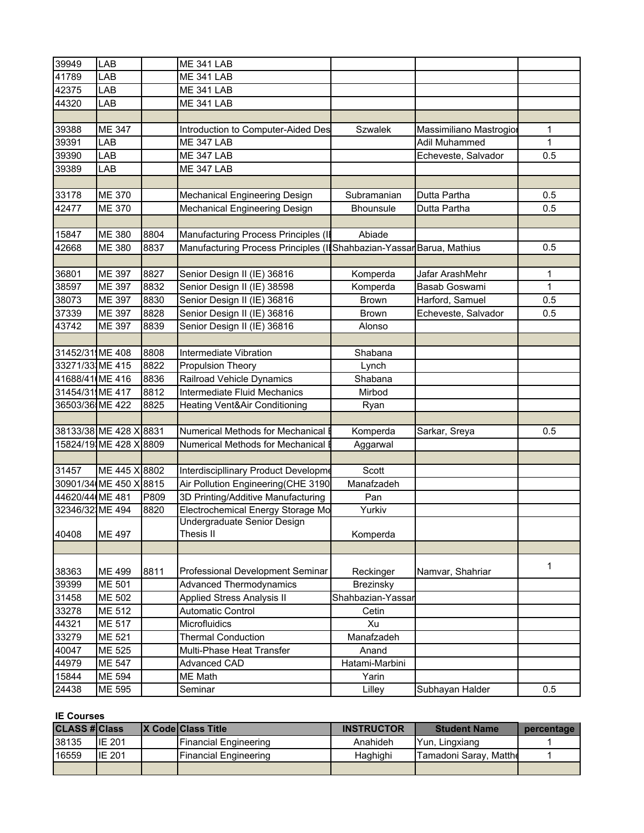| 39949            | LAB               |      | <b>ME 341 LAB</b>                                                    |                   |                         |              |
|------------------|-------------------|------|----------------------------------------------------------------------|-------------------|-------------------------|--------------|
| 41789            | LAB               |      | <b>ME 341 LAB</b>                                                    |                   |                         |              |
| 42375            | LAB               |      | <b>ME 341 LAB</b>                                                    |                   |                         |              |
| 44320            | LAB               |      | <b>ME 341 LAB</b>                                                    |                   |                         |              |
|                  |                   |      |                                                                      |                   |                         |              |
| 39388            | <b>ME 347</b>     |      | Introduction to Computer-Aided Des                                   | <b>Szwalek</b>    | Massimiliano Mastrogior | 1            |
| 39391            | LAB               |      | <b>ME 347 LAB</b>                                                    |                   | Adil Muhammed           | 1            |
| 39390            | LAB               |      | <b>ME 347 LAB</b>                                                    |                   | Echeveste, Salvador     | 0.5          |
| 39389            | LAB               |      | <b>ME 347 LAB</b>                                                    |                   |                         |              |
|                  |                   |      |                                                                      |                   |                         |              |
| 33178            | <b>ME 370</b>     |      | Mechanical Engineering Design                                        | Subramanian       | Dutta Partha            | 0.5          |
| 42477            | <b>ME 370</b>     |      | Mechanical Engineering Design                                        | <b>Bhounsule</b>  | Dutta Partha            | 0.5          |
|                  |                   |      |                                                                      |                   |                         |              |
| 15847            | ME 380            | 8804 | Manufacturing Process Principles (II                                 | Abiade            |                         |              |
| 42668            | ME 380            | 8837 | Manufacturing Process Principles (IlShahbazian-Yassar Barua, Mathius |                   |                         | 0.5          |
|                  |                   |      |                                                                      |                   |                         |              |
| 36801            | <b>ME 397</b>     | 8827 | Senior Design II (IE) 36816                                          | Komperda          | Jafar ArashMehr         | 1            |
| 38597            | <b>ME 397</b>     | 8832 | Senior Design II (IE) 38598                                          | Komperda          | Basab Goswami           | $\mathbf{1}$ |
| 38073            | <b>ME 397</b>     | 8830 | Senior Design II (IE) 36816                                          | <b>Brown</b>      | Harford, Samuel         | 0.5          |
| 37339            | <b>ME 397</b>     | 8828 | Senior Design II (IE) 36816                                          | <b>Brown</b>      | Echeveste, Salvador     | 0.5          |
| 43742            | ME 397            | 8839 | Senior Design II (IE) 36816                                          | Alonso            |                         |              |
|                  |                   |      |                                                                      |                   |                         |              |
| 31452/31 ME 408  |                   | 8808 | Intermediate Vibration                                               | Shabana           |                         |              |
| 33271/33, ME 415 |                   | 8822 | <b>Propulsion Theory</b>                                             | Lynch             |                         |              |
| 41688/41 (ME 416 |                   | 8836 | Railroad Vehicle Dynamics                                            | Shabana           |                         |              |
| 31454/31, ME 417 |                   | 8812 | Intermediate Fluid Mechanics                                         | Mirbod            |                         |              |
| 36503/36.ME 422  |                   | 8825 | Heating Vent&Air Conditioning                                        | Ryan              |                         |              |
|                  |                   |      |                                                                      |                   |                         |              |
|                  | 38133/38 ME 428 X | 8831 | Numerical Methods for Mechanical I                                   | Komperda          | Sarkar, Sreya           | 0.5          |
|                  | 15824/19 ME 428 X | 8809 | Numerical Methods for Mechanical                                     | Aggarwal          |                         |              |
|                  |                   |      |                                                                      |                   |                         |              |
| 31457            | ME 445 X 8802     |      | Interdiscipllinary Product Developme                                 | Scott             |                         |              |
|                  | 30901/34 ME 450 X | 8815 | Air Pollution Engineering(CHE 3190                                   | Manafzadeh        |                         |              |
| 44620/44 ME 481  |                   | P809 | 3D Printing/Additive Manufacturing                                   | Pan               |                         |              |
| 32346/321ME 494  |                   | 8820 | Electrochemical Energy Storage Mo                                    | Yurkiv            |                         |              |
|                  |                   |      | Undergraduate Senior Design                                          |                   |                         |              |
| 40408            | <b>ME 497</b>     |      | Thesis II                                                            | Komperda          |                         |              |
|                  |                   |      |                                                                      |                   |                         |              |
|                  |                   |      |                                                                      |                   |                         | 1            |
| 38363            | ME 499            | 8811 | Professional Development Seminar                                     | Reckinger         | Namvar, Shahriar        |              |
| 39399            | ME 501            |      | <b>Advanced Thermodynamics</b>                                       | Brezinsky         |                         |              |
| 31458            | ME 502            |      | <b>Applied Stress Analysis II</b>                                    | Shahbazian-Yassar |                         |              |
| 33278            | ME 512            |      | <b>Automatic Control</b>                                             | Cetin             |                         |              |
| 44321            | ME 517            |      | Microfluidics                                                        | Xu                |                         |              |
| 33279            | ME 521            |      | <b>Thermal Conduction</b>                                            | Manafzadeh        |                         |              |
| 40047            | ME 525            |      | Multi-Phase Heat Transfer                                            | Anand             |                         |              |
| 44979            | <b>ME 547</b>     |      | <b>Advanced CAD</b>                                                  | Hatami-Marbini    |                         |              |
| 15844            | ME 594            |      | ME Math                                                              | Yarin             |                         |              |
| 24438            | ME 595            |      | Seminar                                                              | Lilley            | Subhayan Halder         | 0.5          |

## **IE Courses**

| <b>CLASS #Class</b> |        | <b>IX CodelClass Title</b>   | <b>INSTRUCTOR</b> | <b>Student Name</b>     | percentage |
|---------------------|--------|------------------------------|-------------------|-------------------------|------------|
| 38135               | IE 201 | IFinancial Engineering       | Anahideh          | Yun, Lingxiang          |            |
| 16559               | IE 201 | <b>Financial Engineering</b> | Haghighi          | ITamadoni Sarav. Mattho |            |
|                     |        |                              |                   |                         |            |